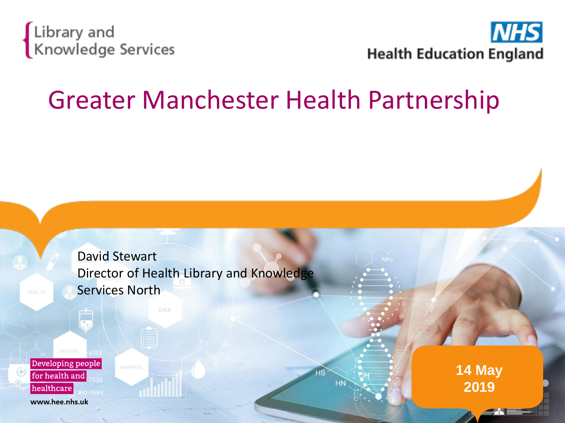



## Greater Manchester Health Partnership

David Stewart Director of Health Library and Knowledge Services North

Developing people for health and healthcare www.hee.nhs.uk

**14 May 2019**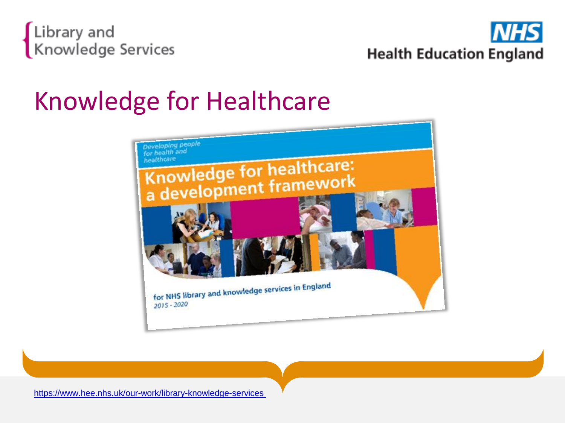



## Knowledge for Healthcare



<https://www.hee.nhs.uk/our-work/library-knowledge-services>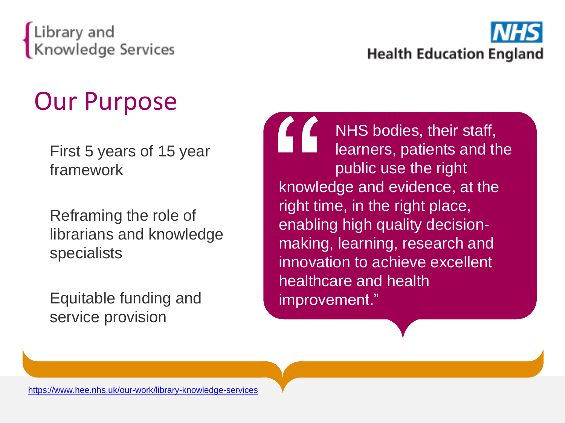



## Our Purpose

First 5 years of 15 year framework

Reframing the role of librarians and knowledge specialists

Equitable funding and service provision

NHS bodies, their staff, learners, patients and the public use the right knowledge and evidence, at the right time, in the right place, enabling high quality decisionmaking, learning, research and innovation to achieve excellent healthcare and health improvement."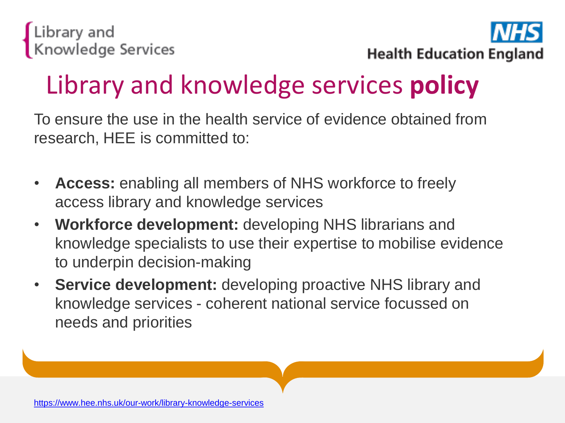

## Library and knowledge services **policy**

To ensure the use in the health service of evidence obtained from research, HEE is committed to:

- **Access:** enabling all members of NHS workforce to freely access library and knowledge services
- **Workforce development:** developing NHS librarians and knowledge specialists to use their expertise to mobilise evidence to underpin decision-making
- **Service development:** developing proactive NHS library and knowledge services - coherent national service focussed on needs and priorities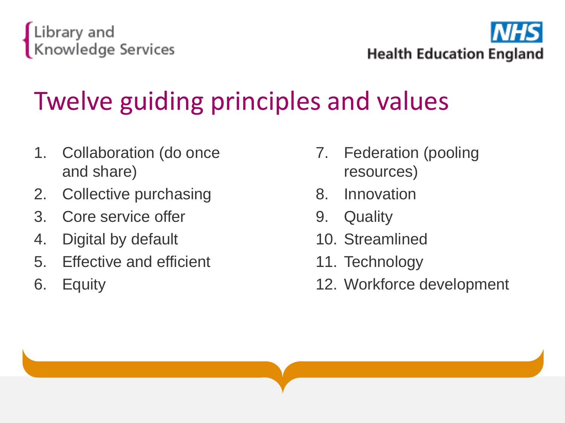

**Health Education England** 

# Twelve guiding principles and values

- 1. Collaboration (do once and share)
- 2. Collective purchasing
- 3. Core service offer
- 4. Digital by default
- 5. Effective and efficient
- 6. Equity
- 7. Federation (pooling resources)
- 8. Innovation
- 9. Quality
- 10. Streamlined
- 11. Technology
- 12. Workforce development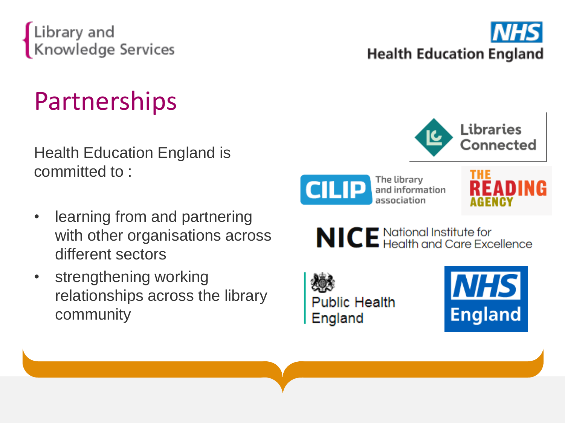

## **Partnerships**

Health Education England is committed to :

- learning from and partnering with other organisations across different sectors
- strengthening working relationships across the library community





The library and information association





**Public Health** England

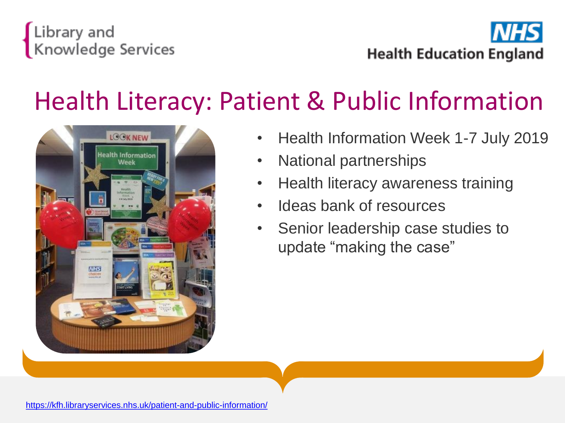



## Health Literacy: Patient & Public Information



- Health Information Week 1-7 July 2019
- National partnerships
- Health literacy awareness training
- Ideas bank of resources
- Senior leadership case studies to update "making the case"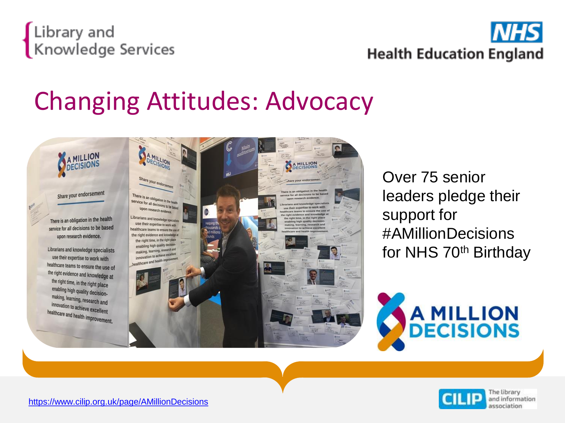



## Changing Attitudes: Advocacy

Share your endorsement

**MILLION** DECISION:

There is an obligation in the health service for all decisions to be based upon research evidence.

Librarians and knowledge specialists use their expertise to work with healthcare teams to ensure the use of the right evidence and knowledge at the right time, in the right place enabling high quality decisionmaking, learning, research and innovation to achieve excellent healthcare and health improvement.



Over 75 senior leaders pledge their support for #AMillionDecisions for NHS 70th Birthday



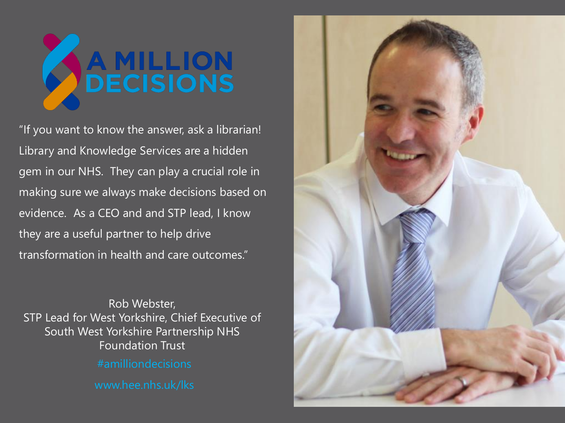

"If you want to know the answer, ask a librarian! Library and Knowledge Services are a hidden gem in our NHS. They can play a crucial role in making sure we always make decisions based on evidence. As a CEO and and STP lead, I know they are a useful partner to help drive transformation in health and care outcomes."

Rob Webster, STP Lead for West Yorkshire, Chief Executive of South West Yorkshire Partnership NHS Foundation Trust

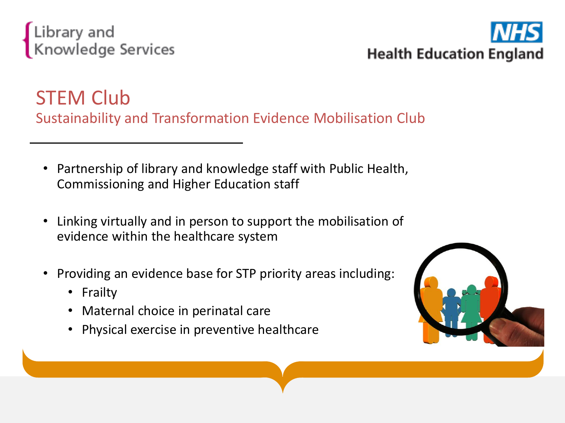



## STEM Club Sustainability and Transformation Evidence Mobilisation Club

- Partnership of library and knowledge staff with Public Health, Commissioning and Higher Education staff
- Linking virtually and in person to support the mobilisation of evidence within the healthcare system
- Providing an evidence base for STP priority areas including:
	- Frailty
	- Maternal choice in perinatal care
	- Physical exercise in preventive healthcare

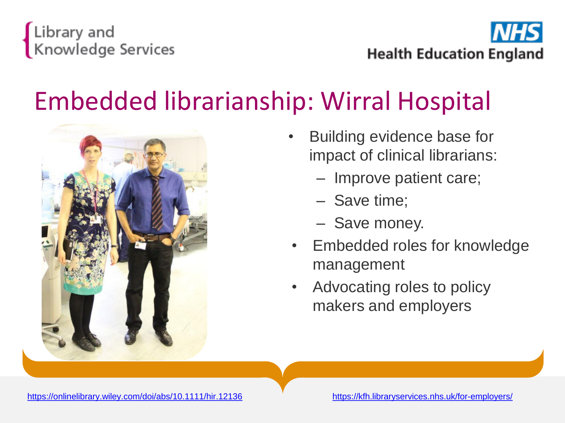

**Health Education England** 

## Embedded librarianship: Wirral Hospital



- Building evidence base for impact of clinical librarians:
	- Improve patient care;
	- Save time;
	- Save money.
- Embedded roles for knowledge management
- Advocating roles to policy makers and employers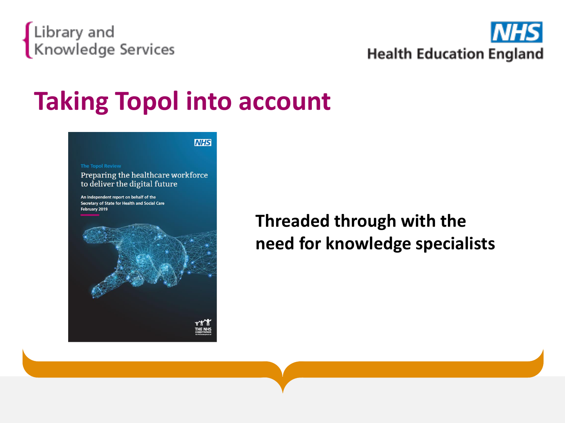



## **Taking Topol into account**

| <b>I<i>NHS</i></b> |
|--------------------|
|                    |

#### **The Topol Review**

Preparing the healthcare workforce to deliver the digital future

An independent report on behalf of the Secretary of State for Health and Social Care February 2019



**Threaded through with the need for knowledge specialists**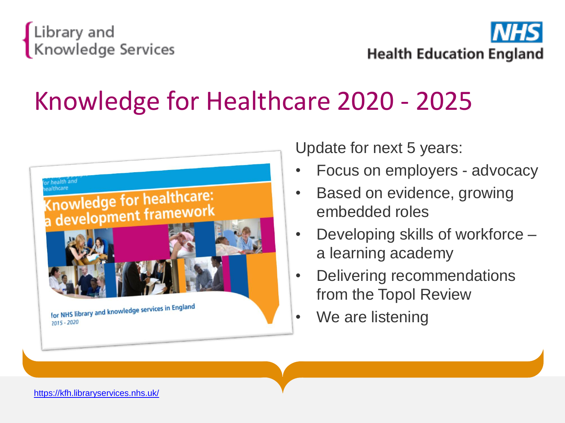![](_page_12_Picture_0.jpeg)

![](_page_12_Picture_1.jpeg)

## Knowledge for Healthcare 2020 - 2025

![](_page_12_Figure_3.jpeg)

Update for next 5 years:

- Focus on employers advocacy
- Based on evidence, growing embedded roles
- Developing skills of workforce a learning academy
- Delivering recommendations from the Topol Review
- We are listening